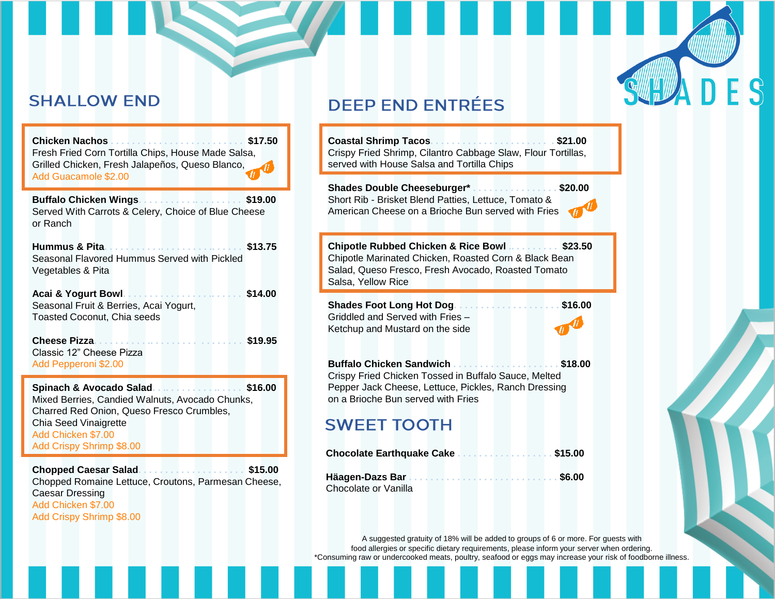# **SHALLOW END**

| Fresh Fried Corn Tortilla Chips, House Made Salsa, |  |
|----------------------------------------------------|--|
| Grilled Chicken, Fresh Jalapeños, Queso Blanco,    |  |
| Add Guacamole \$2.00                               |  |

**Buffalo Chicken Wings. . . . . . . . . . .. . . . . . . . . \$19.00** Served With Carrots & Celery, Choice of Blue Cheese or Ranch

**Hummus & Pita. . . . . . . . . . .. . . . . . . . . .. . . . . . \$13.75** Seasonal Flavored Hummus Served with Pickled Vegetables & Pita

| Acai & Yogurt Bowl                     | \$14.00 |
|----------------------------------------|---------|
| Seasonal Fruit & Berries, Acai Yogurt, |         |
| Toasted Coconut, Chia seeds            |         |

**Cheese Pizza. . . . . . . . . . .. . . . . . . . . . . . . . . . . \$19.95** Classic 12" Cheese Pizza Add Pepperoni \$2.00

**Spinach & Avocado Salad. . .. . . . . . . . . .. . . . . \$16.00** Mixed Berries, Candied Walnuts, Avocado Chunks, Charred Red Onion, Queso Fresco Crumbles, Chia Seed Vinaigrette Add Chicken \$7.00 Add Crispy Shrimp \$8.00

**Chopped Caesar Salad. . . . . . . . . . . . . . . . . . . . \$15.00** Chopped Romaine Lettuce, Croutons, Parmesan Cheese, Caesar Dressing Add Chicken \$7.00 Add Crispy Shrimp \$8.00

# **DEEP END ENTRÉES**

**Coastal Shrimp Tacos. . . . . . . . . . . . . . . . . . . . . . . \$21.00** Crispy Fried Shrimp, Cilantro Cabbage Slaw, Flour Tortillas, served with House Salsa and Tortilla Chips

**Shades Double Cheeseburger\* . . . . . . . . . . . . . . . . \$20.00** Short Rib - Brisket Blend Patties, Lettuce, Tomato & American Cheese on a Brioche Bun served with Fries

**Chipotle Rubbed Chicken & Rice Bowl .. . . . . . . . . \$23.50** Chipotle Marinated Chicken, Roasted Corn & Black Bean Salad, Queso Fresco, Fresh Avocado, Roasted Tomato Salsa, Yellow Rice

**Shades Foot Long Hot Dog. . . . . . . . . . . . . . . . . . . . \$16.00** Griddled and Served with Fries – Ketchup and Mustard on the side

**Buffalo Chicken Sandwich . . . . . . . . . . . . . . . . . . . . \$18.00** Crispy Fried Chicken Tossed in Buffalo Sauce, Melted Pepper Jack Cheese, Lettuce, Pickles, Ranch Dressing on a Brioche Bun served with Fries

## **SWEET TOOTH**

Chocolate or Vanilla

|  |  |  |  |  |  | Chocolate Earthquake Cake \$15.00 |
|--|--|--|--|--|--|-----------------------------------|
|  |  |  |  |  |  |                                   |

A suggested gratuity of 18% will be added to groups of 6 or more. For guests with food allergies or specific dietary requirements, please inform your server when ordering. \*Consuming raw or undercooked meats, poultry, seafood or eggs may increase your risk of foodborne illness.